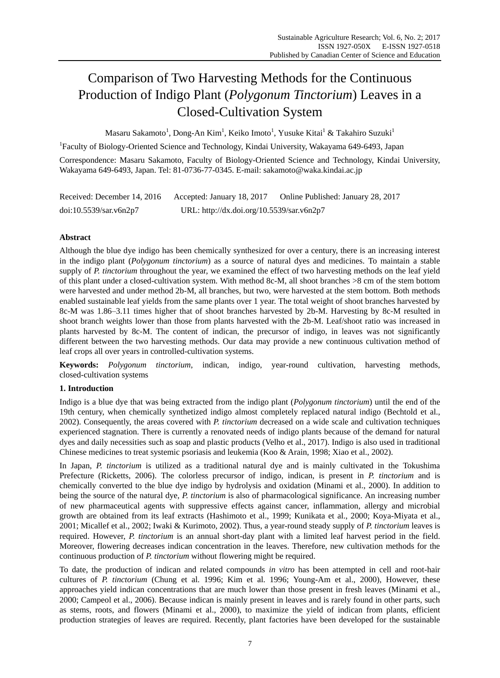# Comparison of Two Harvesting Methods for the Continuous Production of Indigo Plant (*Polygonum Tinctorium*) Leaves in a Closed-Cultivation System

Masaru Sakamoto $^{\rm l}$ , Dong-An Kim $^{\rm l}$ , Keiko Imoto $^{\rm l}$ , Yusuke Kitai $^{\rm l}$  & Takahiro Suzuki $^{\rm l}$ 

<sup>1</sup>Faculty of Biology-Oriented Science and Technology, Kindai University, Wakayama 649-6493, Japan

Correspondence: Masaru Sakamoto, Faculty of Biology-Oriented Science and Technology, Kindai University, Wakayama 649-6493, Japan. Tel: 81-0736-77-0345. E-mail: sakamoto@waka.kindai.ac.jp

| Received: December 14, 2016 | Accepted: January 18, 2017                | Online Published: January 28, 2017 |
|-----------------------------|-------------------------------------------|------------------------------------|
| doi:10.5539/sar.v6n2p7      | URL: http://dx.doi.org/10.5539/sar.v6n2p7 |                                    |

# **Abstract**

Although the blue dye indigo has been chemically synthesized for over a century, there is an increasing interest in the indigo plant (*Polygonum tinctorium*) as a source of natural dyes and medicines. To maintain a stable supply of *P. tinctorium* throughout the year, we examined the effect of two harvesting methods on the leaf yield of this plant under a closed-cultivation system. With method 8c-M, all shoot branches >8 cm of the stem bottom were harvested and under method 2b-M, all branches, but two, were harvested at the stem bottom. Both methods enabled sustainable leaf yields from the same plants over 1 year. The total weight of shoot branches harvested by 8c-M was 1.86–3.11 times higher that of shoot branches harvested by 2b-M. Harvesting by 8c-M resulted in shoot branch weights lower than those from plants harvested with the 2b-M. Leaf/shoot ratio was increased in plants harvested by 8c-M. The content of indican, the precursor of indigo, in leaves was not significantly different between the two harvesting methods. Our data may provide a new continuous cultivation method of leaf crops all over years in controlled-cultivation systems.

**Keywords:** *Polygonum tinctorium*, indican, indigo, year-round cultivation, harvesting methods, closed-cultivation systems

# **1. Introduction**

Indigo is a blue dye that was being extracted from the indigo plant (*Polygonum tinctorium*) until the end of the 19th century, when chemically synthetized indigo almost completely replaced natural indigo (Bechtold et al., 2002). Consequently, the areas covered with *P. tinctorium* decreased on a wide scale and cultivation techniques experienced stagnation. There is currently a renovated needs of indigo plants because of the demand for natural dyes and daily necessities such as soap and plastic products (Velho et al., 2017). Indigo is also used in traditional Chinese medicines to treat systemic psoriasis and leukemia (Koo & Arain, 1998; Xiao et al., 2002).

In Japan, *P. tinctorium* is utilized as a traditional natural dye and is mainly cultivated in the Tokushima Prefecture (Ricketts, 2006). The colorless precursor of indigo, indican, is present in *P. tinctorium* and is chemically converted to the blue dye indigo by hydrolysis and oxidation (Minami et al., 2000). In addition to being the source of the natural dye, *P. tinctorium* is also of pharmacological significance. An increasing number of new pharmaceutical agents with suppressive effects against cancer, inflammation, allergy and microbial growth are obtained from its leaf extracts (Hashimoto et al., 1999; Kunikata et al., 2000; Koya-Miyata et al., 2001; Micallef et al., 2002; Iwaki & Kurimoto, 2002). Thus, a year-round steady supply of *P. tinctorium* leaves is required. However, *P. tinctorium* is an annual short-day plant with a limited leaf harvest period in the field. Moreover, flowering decreases indican concentration in the leaves. Therefore, new cultivation methods for the continuous production of *P. tinctorium* without flowering might be required.

To date, the production of indican and related compounds *in vitro* has been attempted in cell and root-hair cultures of *P. tinctorium* (Chung et al. 1996; Kim et al. 1996; Young-Am et al., 2000), However, these approaches yield indican concentrations that are much lower than those present in fresh leaves (Minami et al., 2000; Campeol et al., 2006). Because indican is mainly present in leaves and is rarely found in other parts, such as stems, roots, and flowers (Minami et al., 2000), to maximize the yield of indican from plants, efficient production strategies of leaves are required. Recently, plant factories have been developed for the sustainable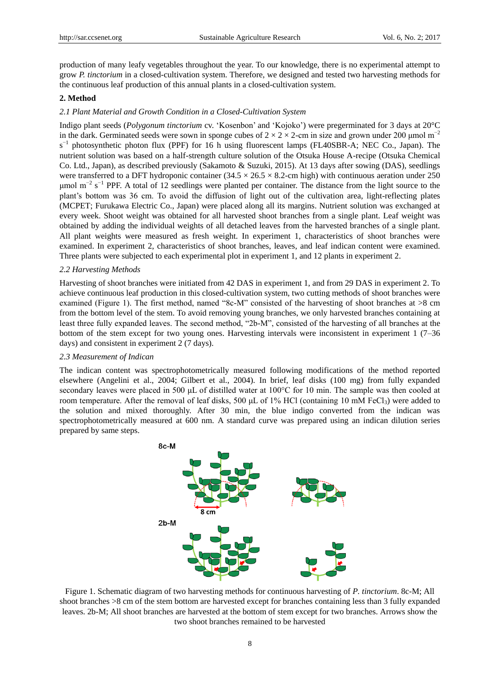production of many leafy vegetables throughout the year. To our knowledge, there is no experimental attempt to grow *P. tinctorium* in a closed-cultivation system. Therefore, we designed and tested two harvesting methods for the continuous leaf production of this annual plants in a closed-cultivation system.

### **2. Method**

## *2.1 Plant Material and Growth Condition in a Closed-Cultivation System*

Indigo plant seeds (*Polygonum tinctorium* cv. "Kosenbon" and "Kojoko") were pregerminated for 3 days at 20°C in the dark. Germinated seeds were sown in sponge cubes of  $2 \times 2 \times 2$ -cm in size and grown under 200 µmol m<sup>-2</sup> s<sup>-1</sup> photosynthetic photon flux (PPF) for 16 h using fluorescent lamps (FL40SBR-A; NEC Co., Japan). The nutrient solution was based on a half-strength culture solution of the Otsuka House A-recipe (Otsuka Chemical Co. Ltd., Japan), as described previously (Sakamoto & Suzuki, 2015). At 13 days after sowing (DAS), seedlings were transferred to a DFT hydroponic container  $(34.5 \times 26.5 \times 8.2$ -cm high) with continuous aeration under 250  $\mu$ mol m<sup>-2</sup> s<sup>-1</sup> PPF. A total of 12 seedlings were planted per container. The distance from the light source to the plant"s bottom was 36 cm. To avoid the diffusion of light out of the cultivation area, light-reflecting plates (MCPET; Furukawa Electric Co., Japan) were placed along all its margins. Nutrient solution was exchanged at every week. Shoot weight was obtained for all harvested shoot branches from a single plant. Leaf weight was obtained by adding the individual weights of all detached leaves from the harvested branches of a single plant. All plant weights were measured as fresh weight. In experiment 1, characteristics of shoot branches were examined. In experiment 2, characteristics of shoot branches, leaves, and leaf indican content were examined. Three plants were subjected to each experimental plot in experiment 1, and 12 plants in experiment 2.

## *2.2 Harvesting Methods*

Harvesting of shoot branches were initiated from 42 DAS in experiment 1, and from 29 DAS in experiment 2. To achieve continuous leaf production in this closed-cultivation system, two cutting methods of shoot branches were examined (Figure 1). The first method, named "8c-M" consisted of the harvesting of shoot branches at >8 cm from the bottom level of the stem. To avoid removing young branches, we only harvested branches containing at least three fully expanded leaves. The second method, "2b-M", consisted of the harvesting of all branches at the bottom of the stem except for two young ones. Harvesting intervals were inconsistent in experiment 1 (7–36 days) and consistent in experiment 2 (7 days).

#### *2.3 Measurement of Indican*

The indican content was spectrophotometrically measured following modifications of the method reported elsewhere (Angelini et al., 2004; Gilbert et al., 2004). In brief, leaf disks (100 mg) from fully expanded secondary leaves were placed in 500 μL of distilled water at 100°C for 10 min. The sample was then cooled at room temperature. After the removal of leaf disks, 500  $\mu$ L of 1% HCl (containing 10 mM FeCl<sub>3</sub>) were added to the solution and mixed thoroughly. After 30 min, the blue indigo converted from the indican was spectrophotometrically measured at 600 nm. A standard curve was prepared using an indican dilution series prepared by same steps.



Figure 1. Schematic diagram of two harvesting methods for continuous harvesting of *P. tinctorium*. 8c-M; All shoot branches >8 cm of the stem bottom are harvested except for branches containing less than 3 fully expanded leaves. 2b-M; All shoot branches are harvested at the bottom of stem except for two branches. Arrows show the two shoot branches remained to be harvested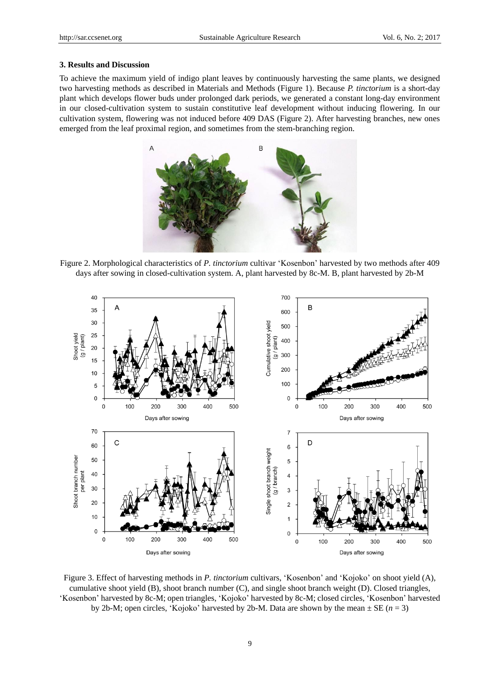#### **3. Results and Discussion**

To achieve the maximum yield of indigo plant leaves by continuously harvesting the same plants, we designed two harvesting methods as described in Materials and Methods (Figure 1). Because *P. tinctorium* is a short-day plant which develops flower buds under prolonged dark periods, we generated a constant long-day environment in our closed-cultivation system to sustain constitutive leaf development without inducing flowering. In our cultivation system, flowering was not induced before 409 DAS (Figure 2). After harvesting branches, new ones emerged from the leaf proximal region, and sometimes from the stem-branching region.



Figure 2. Morphological characteristics of *P. tinctorium* cultivar "Kosenbon" harvested by two methods after 409 days after sowing in closed-cultivation system. A, plant harvested by 8c-M. B, plant harvested by 2b-M



Figure 3. Effect of harvesting methods in *P. tinctorium* cultivars, 'Kosenbon' and 'Kojoko' on shoot yield (A), cumulative shoot yield (B), shoot branch number (C), and single shoot branch weight (D). Closed triangles, "Kosenbon" harvested by 8c-M; open triangles, "Kojoko" harvested by 8c-M; closed circles, "Kosenbon" harvested by 2b-M; open circles, 'Kojoko' harvested by 2b-M. Data are shown by the mean  $\pm$  SE ( $n = 3$ )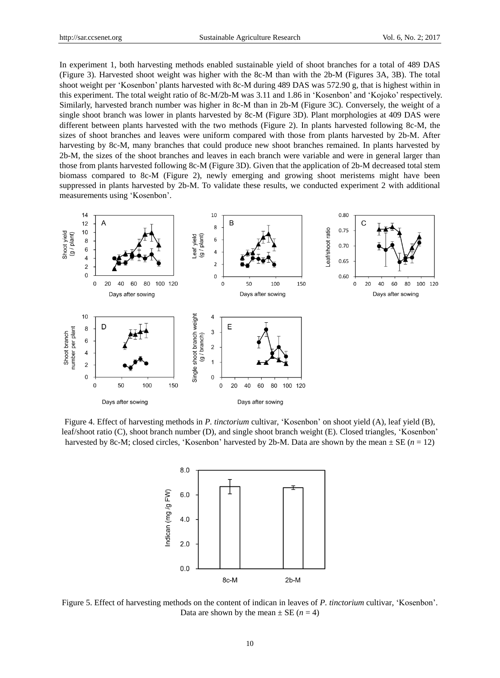In experiment 1, both harvesting methods enabled sustainable yield of shoot branches for a total of 489 DAS (Figure 3). Harvested shoot weight was higher with the 8c-M than with the 2b-M (Figures 3A, 3B). The total shoot weight per "Kosenbon" plants harvested with 8c-M during 489 DAS was 572.90 g, that is highest within in this experiment. The total weight ratio of 8c-M/2b-M was 3.11 and 1.86 in "Kosenbon" and "Kojoko" respectively. Similarly, harvested branch number was higher in 8c-M than in 2b-M (Figure 3C). Conversely, the weight of a single shoot branch was lower in plants harvested by 8c-M (Figure 3D). Plant morphologies at 409 DAS were different between plants harvested with the two methods (Figure 2). In plants harvested following 8c-M, the sizes of shoot branches and leaves were uniform compared with those from plants harvested by 2b-M. After harvesting by 8c-M, many branches that could produce new shoot branches remained. In plants harvested by 2b-M, the sizes of the shoot branches and leaves in each branch were variable and were in general larger than those from plants harvested following 8c-M (Figure 3D). Given that the application of 2b-M decreased total stem biomass compared to 8c-M (Figure 2), newly emerging and growing shoot meristems might have been suppressed in plants harvested by 2b-M. To validate these results, we conducted experiment 2 with additional measurements using "Kosenbon".



Figure 4. Effect of harvesting methods in *P. tinctorium* cultivar, "Kosenbon" on shoot yield (A), leaf yield (B), leaf/shoot ratio (C), shoot branch number (D), and single shoot branch weight (E). Closed triangles, "Kosenbon" harvested by 8c-M; closed circles, 'Kosenbon' harvested by 2b-M. Data are shown by the mean  $\pm$  SE ( $n = 12$ )



Figure 5. Effect of harvesting methods on the content of indican in leaves of *P. tinctorium* cultivar, "Kosenbon". Data are shown by the mean  $\pm$  SE ( $n = 4$ )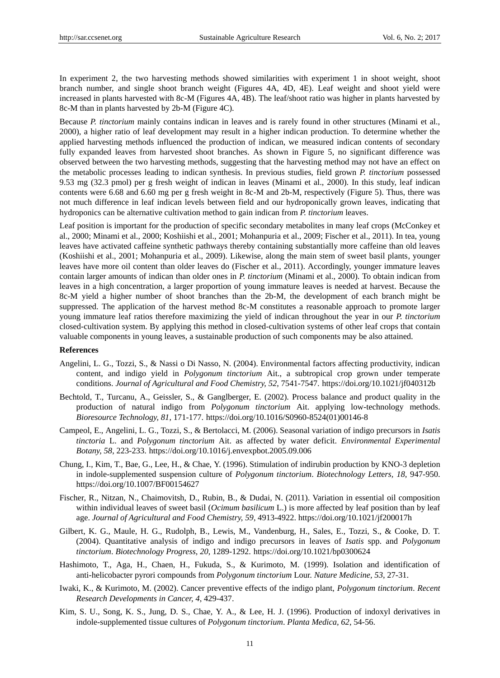In experiment 2, the two harvesting methods showed similarities with experiment 1 in shoot weight, shoot branch number, and single shoot branch weight (Figures 4A, 4D, 4E). Leaf weight and shoot yield were increased in plants harvested with 8c-M (Figures 4A, 4B). The leaf/shoot ratio was higher in plants harvested by 8c-M than in plants harvested by 2b-M (Figure 4C).

Because *P. tinctorium* mainly contains indican in leaves and is rarely found in other structures (Minami et al., 2000), a higher ratio of leaf development may result in a higher indican production. To determine whether the applied harvesting methods influenced the production of indican, we measured indican contents of secondary fully expanded leaves from harvested shoot branches. As shown in Figure 5, no significant difference was observed between the two harvesting methods, suggesting that the harvesting method may not have an effect on the metabolic processes leading to indican synthesis. In previous studies, field grown *P. tinctorium* possessed 9.53 mg (32.3 pmol) per g fresh weight of indican in leaves (Minami et al., 2000). In this study, leaf indican contents were 6.68 and 6.60 mg per g fresh weight in 8c-M and 2b-M, respectively (Figure 5). Thus, there was not much difference in leaf indican levels between field and our hydroponically grown leaves, indicating that hydroponics can be alternative cultivation method to gain indican from *P. tinctorium* leaves.

Leaf position is important for the production of specific secondary metabolites in many leaf crops (McConkey et al., 2000; Minami et al., 2000; Koshiishi et al., 2001; Mohanpuria et al., 2009; Fischer et al., 2011). In tea, young leaves have activated caffeine synthetic pathways thereby containing substantially more caffeine than old leaves (Koshiishi et al., 2001; Mohanpuria et al., 2009). Likewise, along the main stem of sweet basil plants, younger leaves have more oil content than older leaves do (Fischer et al., 2011). Accordingly, younger immature leaves contain larger amounts of indican than older ones in *P. tinctorium* (Minami et al., 2000). To obtain indican from leaves in a high concentration, a larger proportion of young immature leaves is needed at harvest. Because the 8c-M yield a higher number of shoot branches than the 2b-M, the development of each branch might be suppressed. The application of the harvest method 8c-M constitutes a reasonable approach to promote larger young immature leaf ratios therefore maximizing the yield of indican throughout the year in our *P. tinctorium* closed-cultivation system. By applying this method in closed-cultivation systems of other leaf crops that contain valuable components in young leaves, a sustainable production of such components may be also attained.

#### **References**

- Angelini, L. G., Tozzi, S., & Nassi o Di Nasso, N. (2004). Environmental factors affecting productivity, indican content, and indigo yield in *Polygonum tinctorium* Ait., a subtropical crop grown under temperate conditions. *Journal of Agricultural and Food Chemistry, 52*, 7541-7547. https://doi.org/10.1021/jf040312b
- Bechtold, T., Turcanu, A., Geissler, S., & Ganglberger, E. (2002). Process balance and product quality in the production of natural indigo from *Polygonum tinctorium* Ait. applying low-technology methods. *Bioresource Technology, 81*, 171-177. https://doi.org/10.1016/S0960-8524(01)00146-8
- Campeol, E., Angelini, L. G., Tozzi, S., & Bertolacci, M. (2006). Seasonal variation of indigo precursors in *Isatis tinctoria* L. and *Polygonum tinctorium* Ait. as affected by water deficit. *Environmental Experimental Botany, 58*, 223-233. https://doi.org/10.1016/j.envexpbot.2005.09.006
- Chung, I., Kim, T., Bae, G., Lee, H., & Chae, Y. (1996). Stimulation of indirubin production by KNO-3 depletion in indole-supplemented suspension culture of *Polygonum tinctorium*. *Biotechnology Lett*e*rs, 18*, 947-950. https://doi.org/10.1007/BF00154627
- Fischer, R., Nitzan, N., Chaimovitsh, D., Rubin, B., & Dudai, N. (2011). Variation in essential oil composition within individual leaves of sweet basil (*Ocimum basilicum* L.) is more affected by leaf position than by leaf age. *Journal of Agricultural and Food Chemistry, 59*, 4913-4922. https://doi.org/10.1021/jf200017h
- Gilbert, K. G., Maule, H. G., Rudolph, B., Lewis, M., Vandenburg, H., Sales, E., Tozzi, S., & Cooke, D. T. (2004). Quantitative analysis of indigo and indigo precursors in leaves of *Isatis* spp. and *Polygonum tinctorium*. *Biotechnology Progress, 20*, 1289-1292. https://doi.org/10.1021/bp0300624
- Hashimoto, T., Aga, H., Chaen, H., Fukuda, S., & Kurimoto, M. (1999). Isolation and identification of anti-helicobacter pyrori compounds from *Polygonum tinctorium* Lour. *Nature Medicine, 53*, 27-31.
- Iwaki, K., & Kurimoto, M. (2002). Cancer preventive effects of the indigo plant, *Polygonum tinctorium*. *Recent Research Developments in Cancer, 4*, 429-437.
- Kim, S. U., Song, K. S., Jung, D. S., Chae, Y. A., & Lee, H. J. (1996). Production of indoxyl derivatives in indole-supplemented tissue cultures of *Polygonum tinctorium*. *Planta Medica, 62*, 54-56.